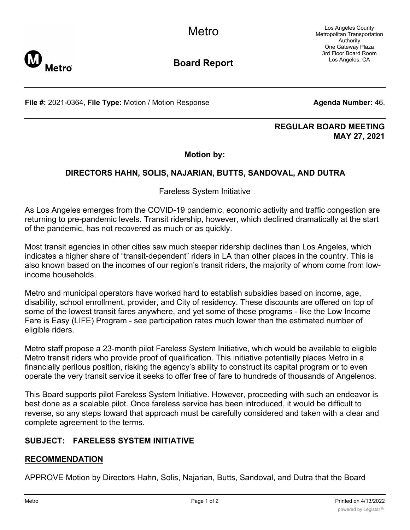Los Angeles County Metropolitan Transportation Authority One Gateway Plaza 3rd Floor Board Room Los Angeles, CA



**Board Report**

**File #:** 2021-0364, File Type: Motion / Motion Response **Agenta Number:** 46.

#### **REGULAR BOARD MEETING MAY 27, 2021**

### **Motion by:**

## **DIRECTORS HAHN, SOLIS, NAJARIAN, BUTTS, SANDOVAL, AND DUTRA**

Fareless System Initiative

As Los Angeles emerges from the COVID-19 pandemic, economic activity and traffic congestion are returning to pre-pandemic levels. Transit ridership, however, which declined dramatically at the start of the pandemic, has not recovered as much or as quickly.

Most transit agencies in other cities saw much steeper ridership declines than Los Angeles, which indicates a higher share of "transit-dependent" riders in LA than other places in the country. This is also known based on the incomes of our region's transit riders, the majority of whom come from lowincome households.

Metro and municipal operators have worked hard to establish subsidies based on income, age, disability, school enrollment, provider, and City of residency. These discounts are offered on top of some of the lowest transit fares anywhere, and yet some of these programs - like the Low Income Fare is Easy (LIFE) Program - see participation rates much lower than the estimated number of eligible riders.

Metro staff propose a 23-month pilot Fareless System Initiative, which would be available to eligible Metro transit riders who provide proof of qualification. This initiative potentially places Metro in a financially perilous position, risking the agency's ability to construct its capital program or to even operate the very transit service it seeks to offer free of fare to hundreds of thousands of Angelenos.

This Board supports pilot Fareless System Initiative. However, proceeding with such an endeavor is best done as a scalable pilot. Once fareless service has been introduced, it would be difficult to reverse, so any steps toward that approach must be carefully considered and taken with a clear and complete agreement to the terms.

# **SUBJECT: FARELESS SYSTEM INITIATIVE**

### **RECOMMENDATION**

APPROVE Motion by Directors Hahn, Solis, Najarian, Butts, Sandoval, and Dutra that the Board